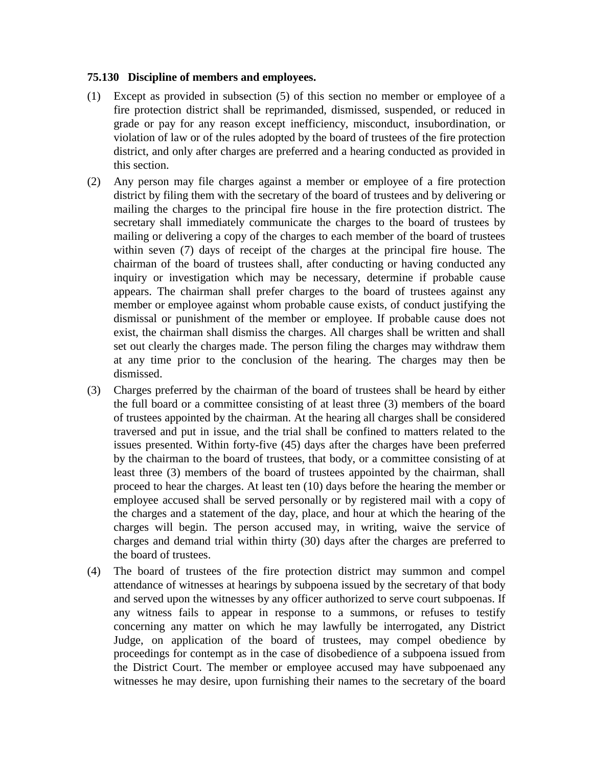## **75.130 Discipline of members and employees.**

- (1) Except as provided in subsection (5) of this section no member or employee of a fire protection district shall be reprimanded, dismissed, suspended, or reduced in grade or pay for any reason except inefficiency, misconduct, insubordination, or violation of law or of the rules adopted by the board of trustees of the fire protection district, and only after charges are preferred and a hearing conducted as provided in this section.
- (2) Any person may file charges against a member or employee of a fire protection district by filing them with the secretary of the board of trustees and by delivering or mailing the charges to the principal fire house in the fire protection district. The secretary shall immediately communicate the charges to the board of trustees by mailing or delivering a copy of the charges to each member of the board of trustees within seven (7) days of receipt of the charges at the principal fire house. The chairman of the board of trustees shall, after conducting or having conducted any inquiry or investigation which may be necessary, determine if probable cause appears. The chairman shall prefer charges to the board of trustees against any member or employee against whom probable cause exists, of conduct justifying the dismissal or punishment of the member or employee. If probable cause does not exist, the chairman shall dismiss the charges. All charges shall be written and shall set out clearly the charges made. The person filing the charges may withdraw them at any time prior to the conclusion of the hearing. The charges may then be dismissed.
- (3) Charges preferred by the chairman of the board of trustees shall be heard by either the full board or a committee consisting of at least three (3) members of the board of trustees appointed by the chairman. At the hearing all charges shall be considered traversed and put in issue, and the trial shall be confined to matters related to the issues presented. Within forty-five (45) days after the charges have been preferred by the chairman to the board of trustees, that body, or a committee consisting of at least three (3) members of the board of trustees appointed by the chairman, shall proceed to hear the charges. At least ten (10) days before the hearing the member or employee accused shall be served personally or by registered mail with a copy of the charges and a statement of the day, place, and hour at which the hearing of the charges will begin. The person accused may, in writing, waive the service of charges and demand trial within thirty (30) days after the charges are preferred to the board of trustees.
- (4) The board of trustees of the fire protection district may summon and compel attendance of witnesses at hearings by subpoena issued by the secretary of that body and served upon the witnesses by any officer authorized to serve court subpoenas. If any witness fails to appear in response to a summons, or refuses to testify concerning any matter on which he may lawfully be interrogated, any District Judge, on application of the board of trustees, may compel obedience by proceedings for contempt as in the case of disobedience of a subpoena issued from the District Court. The member or employee accused may have subpoenaed any witnesses he may desire, upon furnishing their names to the secretary of the board